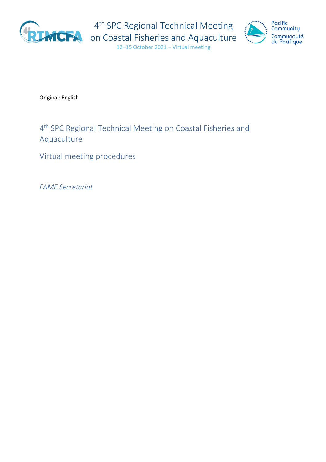

4<sup>th</sup> SPC Regional Technical Meeting



on Coastal Fisheries and Aquaculture 12–15 October 2021 – Virtual meeting

Original: English

# 4th SPC Regional Technical Meeting on Coastal Fisheries and Aquaculture

Virtual meeting procedures

*FAME Secretariat*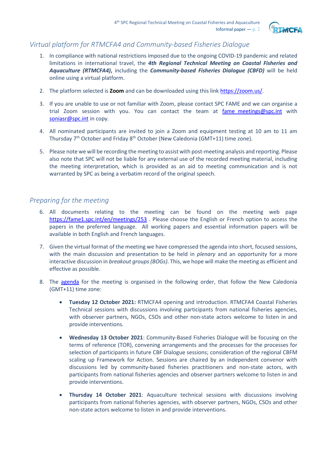

# *Virtual platform for RTMCFA4 and Community-based Fisheries Dialogue*

- 1. In compliance with national restrictions imposed due to the ongoing COVID-19 pandemic and related limitations in international travel, the *4th Regional Technical Meeting on Coastal Fisheries and Aquaculture (RTMCFA4)***,** including the *Community-based Fisheries Dialogue (CBFD)* will be held online using a virtual platform.
- 2. The platform selected is **Zoom** and can be downloaded using this link [https://zoom.us/.](https://zoom.us/)
- 3. If you are unable to use or not familiar with Zoom, please contact SPC FAME and we can organise a trial Zoom session with you. You can contact the team at fame meetings@spc.int with [soniasr@spc.int](mailto:soniasr@spc.int) in copy.
- 4. All nominated participants are invited to join a Zoom and equipment testing at 10 am to 11 am Thursday 7<sup>th</sup> October and Friday 8<sup>th</sup> October (New Caledonia (GMT+11) time zone).
- 5. Please note we will be recording the meeting to assist with post-meeting analysis and reporting. Please also note that SPC will not be liable for any external use of the recorded meeting material, including the meeting interpretation, which is provided as an aid to meeting communication and is not warranted by SPC as being a verbatim record of the original speech.

### *Preparing for the meeting*

- 6. All documents relating to the meeting can be found on the meeting web page <https://fame1.spc.int/en/meetings/253> . Please choose the English or French option to access the papers in the preferred language. All working papers and essential information papers will be available in both English and French languages.
- 7. Given the virtual format of the meeting we have compressed the agenda into short, focused sessions, with the main discussion and presentation to be held in *plenary* and an opportunity for a more interactive discussion in *breakout groups (BOGs)*. This, we hope will make the meeting as efficient and effective as possible.
- 8. The [agenda](https://fame1.spc.int/en/meetings/253) for the meeting is organised in the following order, that follow the New Caledonia (GMT+11) time zone:
	- **Tuesday 12 October 2021:** RTMCFA4 opening and introduction. RTMCFA4 Coastal Fisheries Technical sessions with discussions involving participants from national fisheries agencies, with observer partners, NGOs, CSOs and other non-state actors welcome to listen in and provide interventions.
	- **Wednesday 13 October 2021**: Community-Based Fisheries Dialogue will be focusing on the terms of reference (TOR), convening arrangements and the processes for the processes for selection of participants in future CBF Dialogue sessions; consideration of the regional CBFM scaling up Framework for Action. Sessions are chaired by an independent convenor with discussions led by community-based fisheries practitioners and non-state actors, with participants from national fisheries agencies and observer partners welcome to listen in and provide interventions.
	- **Thursday 14 October 2021**: Aquaculture technical sessions with discussions involving participants from national fisheries agencies, with observer partners, NGOs, CSOs and other non-state actors welcome to listen in and provide interventions.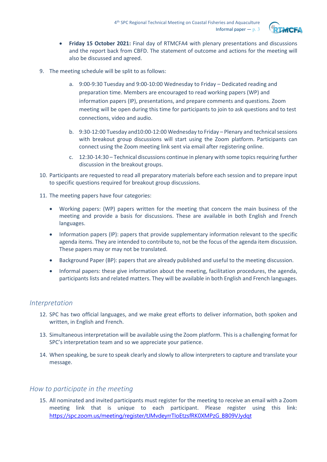

- **Friday 15 October 2021:** Final day of RTMCFA4 with plenary presentations and discussions and the report back from CBFD. The statement of outcome and actions for the meeting will also be discussed and agreed.
- 9. The meeting schedule will be split to as follows:
	- a. 9:00-9:30 Tuesday and 9:00-10:00 Wednesday to Friday Dedicated reading and preparation time. Members are encouraged to read working papers (WP) and information papers (IP), presentations, and prepare comments and questions. Zoom meeting will be open during this time for participants to join to ask questions and to test connections, video and audio.
	- b. 9:30-12:00 Tuesday and10:00-12:00 Wednesday to Friday Plenary and technical sessions with breakout group discussions will start using the Zoom platform. Participants can connect using the Zoom meeting link sent via email after registering online.
	- c. 12:30-14:30 Technical discussions continue in plenary with some topics requiring further discussion in the breakout groups.
- 10. Participants are requested to read all preparatory materials before each session and to prepare input to specific questions required for breakout group discussions.
- 11. The meeting papers have four categories:
	- Working papers: (WP) papers written for the meeting that concern the main business of the meeting and provide a basis for discussions. These are available in both English and French languages.
	- Information papers (IP): papers that provide supplementary information relevant to the specific agenda items. They are intended to contribute to, not be the focus of the agenda item discussion. These papers may or may not be translated.
	- Background Paper (BP): papers that are already published and useful to the meeting discussion.
	- Informal papers: these give information about the meeting, facilitation procedures, the agenda, participants lists and related matters. They will be available in both English and French languages.

#### *Interpretation*

- 12. SPC has two official languages, and we make great efforts to deliver information, both spoken and written, in English and French.
- 13. Simultaneous interpretation will be available using the Zoom platform. This is a challenging format for SPC's interpretation team and so we appreciate your patience.
- 14. When speaking, be sure to speak clearly and slowly to allow interpreters to capture and translate your message.

# *How to participate in the meeting*

15. All nominated and invited participants must register for the meeting to receive an email with a Zoom meeting link that is unique to each participant. Please register using this link: [https://spc.zoom.us/meeting/register/tJMvdeyrrTIoEtzsfRK0XMPzG\\_BB09VJydqt](https://spc.zoom.us/meeting/register/tJMvdeyrrTIoEtzsfRK0XMPzG_BB09VJydqt)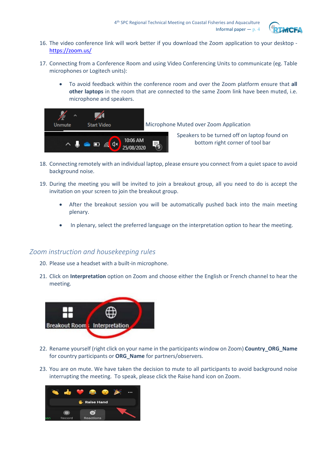

- 16. The video conference link will work better if you download the Zoom application to your desktop <https://zoom.us/>
- 17. Connecting from a Conference Room and using Video Conferencing Units to communicate (eg. Table microphones or Logitech units):
	- To avoid feedback within the conference room and over the Zoom platform ensure that **all other laptops** in the room that are connected to the same Zoom link have been muted, i.e. microphone and speakers.



- 18. Connecting remotely with an individual laptop, please ensure you connect from a quiet space to avoid background noise.
- 19. During the meeting you will be invited to join a breakout group, all you need to do is accept the invitation on your screen to join the breakout group.
	- After the breakout session you will be automatically pushed back into the main meeting plenary.
	- In plenary, select the preferred language on the interpretation option to hear the meeting.

# *Zoom instruction and housekeeping rules*

- 20. Please use a headset with a built-in microphone.
- 21. Click on **Interpretation** option on Zoom and choose either the English or French channel to hear the meeting.



- 22. Rename yourself (right click on your name in the participants window on Zoom) **Country\_ORG\_Name** for country participants or **ORG\_Name** for partners/observers.
- 23. You are on mute. We have taken the decision to mute to all participants to avoid background noise interrupting the meeting. To speak, please click the Raise hand icon on Zoom.